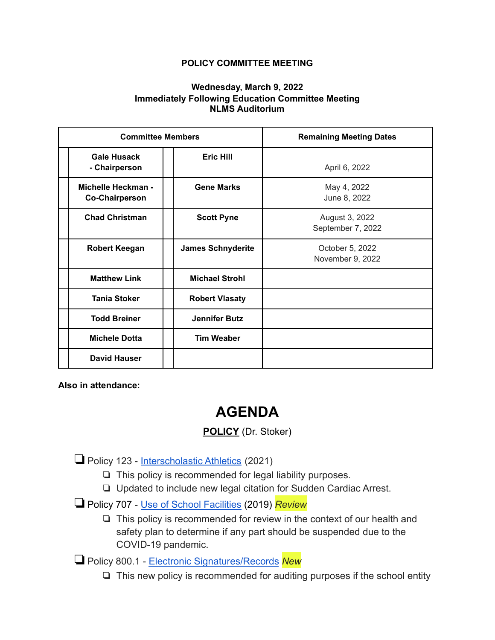## **POLICY COMMITTEE MEETING**

## **Wednesday, March 9, 2022 Immediately Following Education Committee Meeting NLMS Auditorium**

| <b>Committee Members</b>                           |                          | <b>Remaining Meeting Dates</b>      |
|----------------------------------------------------|--------------------------|-------------------------------------|
| <b>Gale Husack</b><br>- Chairperson                | <b>Eric Hill</b>         | April 6, 2022                       |
| <b>Michelle Heckman -</b><br><b>Co-Chairperson</b> | <b>Gene Marks</b>        | May 4, 2022<br>June 8, 2022         |
| <b>Chad Christman</b>                              | <b>Scott Pyne</b>        | August 3, 2022<br>September 7, 2022 |
| <b>Robert Keegan</b>                               | <b>James Schnyderite</b> | October 5, 2022<br>November 9, 2022 |
| <b>Matthew Link</b>                                | <b>Michael Strohl</b>    |                                     |
| <b>Tania Stoker</b>                                | <b>Robert Vlasaty</b>    |                                     |
| <b>Todd Breiner</b>                                | <b>Jennifer Butz</b>     |                                     |
| <b>Michele Dotta</b>                               | <b>Tim Weaber</b>        |                                     |
| <b>David Hauser</b>                                |                          |                                     |

**Also in attendance:**

## **AGENDA**

## **POLICY** (Dr. Stoker)

❏Policy 123 - [Interscholastic Athletics](https://drive.google.com/file/d/1WMV_mDigSqLgUjv__19gDM1fhK671KrZ/view?usp=sharing) (2021)

- ❏ This policy is recommended for legal liability purposes.
- ❏ Updated to include new legal citation for Sudden Cardiac Arrest.
- ❏Policy 707 [Use of School Facilities](https://drive.google.com/file/d/1mtUEF1Q5ZAxC9Eut1reeXkl_rSS7PREI/view?usp=sharing) (2019) *Review*
	- ❏ This policy is recommended for review in the context of our health and safety plan to determine if any part should be suspended due to the COVID-19 pandemic.

❏Policy 800.1 - [Electronic Signatures/Records](https://drive.google.com/file/d/1Igvpd-vcS6Tbgirz2dyu8KJesvULN77-/view?usp=sharing) *New*

❏ This new policy is recommended for auditing purposes if the school entity